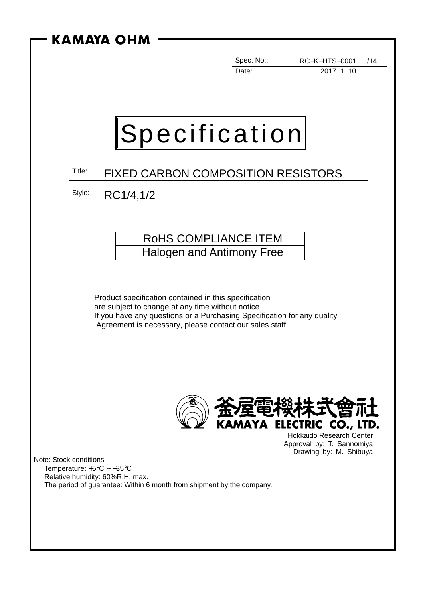| KAMAYA OHM                                                                                                                                                                                                                                      |                     |                                                                                        |
|-------------------------------------------------------------------------------------------------------------------------------------------------------------------------------------------------------------------------------------------------|---------------------|----------------------------------------------------------------------------------------|
|                                                                                                                                                                                                                                                 | Spec. No.:<br>Date: | <b>RC-K-HTS-0001</b><br>/14<br>2017.1.10                                               |
|                                                                                                                                                                                                                                                 |                     |                                                                                        |
| Specification                                                                                                                                                                                                                                   |                     |                                                                                        |
| Title:<br><b>FIXED CARBON COMPOSITION RESISTORS</b>                                                                                                                                                                                             |                     |                                                                                        |
| Style:<br>RC1/4,1/2                                                                                                                                                                                                                             |                     |                                                                                        |
|                                                                                                                                                                                                                                                 |                     |                                                                                        |
| ROHS COMPLIANCE ITEM<br>Halogen and Antimony Free                                                                                                                                                                                               |                     |                                                                                        |
|                                                                                                                                                                                                                                                 |                     |                                                                                        |
| Product specification contained in this specification<br>are subject to change at any time without notice<br>If you have any questions or a Purchasing Specification for any quality<br>Agreement is necessary, please contact our sales staff. |                     |                                                                                        |
|                                                                                                                                                                                                                                                 |                     | KAMAYA ELECTRIC CO., LTD.                                                              |
| Note: Stock conditions<br>Temperature: $+5^{\circ}$ C ~ $+35^{\circ}$ C<br>Relative humidity: 60%R.H. max.<br>The period of guarantee: Within 6 month from shipment by the company.                                                             |                     | <b>Hokkaido Research Center</b><br>Approval by: T. Sannomiya<br>Drawing by: M. Shibuya |
|                                                                                                                                                                                                                                                 |                     |                                                                                        |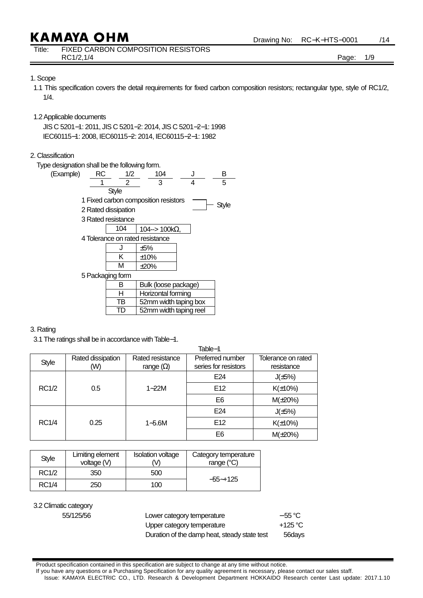Title: FIXED CARBON COMPOSITION RESISTORS RC1/2,1/4 **Page: 1/9** 

Drawing No: RC−K−HTS−0001 /14

### 1. Scope

- 1.1 This specification covers the detail requirements for fixed carbon composition resistors; rectangular type, style of RC1/2, 1/4.
- 1.2 Applicable documents

 JIS C 5201−1: 2011, JIS C 5201−2: 2014, JIS C 5201−2−1: 1998 IEC60115−1: 2008, IEC60115−2: 2014, IEC60115−2−1: 1982

### 2. Classification

Type designation shall be the following form.

| RC<br>(Example) | 1/2                 | 104                                  | J | в     |
|-----------------|---------------------|--------------------------------------|---|-------|
|                 | 2                   | 3                                    | 4 | 5     |
|                 | Style               |                                      |   |       |
|                 |                     | 1 Fixed carbon composition resistors |   |       |
|                 | 2 Rated dissipation |                                      |   | Style |
|                 | 3 Rated resistance  |                                      |   |       |
|                 | 104                 | 104--> 100kΩ,                        |   |       |
|                 |                     | 4 Tolerance on rated resistance      |   |       |
|                 |                     | ±5%                                  |   |       |
|                 | Κ                   | ±10%                                 |   |       |
|                 | М                   | $\pm 20\%$                           |   |       |
|                 | 5 Packaging form    |                                      |   |       |
|                 | в                   | Bulk (loose package)                 |   |       |
|                 | н                   | Horizontal forming                   |   |       |
|                 | ΤВ                  | 52mm width taping box                |   |       |
|                 | TD                  | 52mm width taping reel               |   |       |

#### 3. Rating

3.1 The ratings shall be in accordance with Table−1.

| lable-1      |                          |                                      |                                          |                                  |  |
|--------------|--------------------------|--------------------------------------|------------------------------------------|----------------------------------|--|
| <b>Style</b> | Rated dissipation<br>(W) | Rated resistance<br>range $(\Omega)$ | Preferred number<br>series for resistors | Tolerance on rated<br>resistance |  |
|              |                          |                                      | E24                                      | $J(\pm 5\%)$                     |  |
| RC1/2        | 0.5                      | $1 - 22M$                            | E <sub>12</sub>                          | $K(\pm 10\%)$                    |  |
|              |                          |                                      | E <sub>6</sub>                           | $M(\pm 20%)$                     |  |
|              | 0.25                     |                                      | E24                                      | $J(\pm 5\%)$                     |  |
| <b>RC1/4</b> |                          | $1 - 5.6M$                           | E12                                      | $K(\pm 10\%)$                    |  |
|              |                          |                                      | E6                                       | $M(\pm 20%)$                     |  |

 $-11$ 

| Style        | Limiting element<br>voltage (V) | <b>Isolation voltage</b><br>M | Category temperature<br>range $(^{\circ}C)$ |
|--------------|---------------------------------|-------------------------------|---------------------------------------------|
| <b>RC1/2</b> | 350                             | 500                           |                                             |
| <b>RC1/4</b> | 250                             | 100                           | $-55 - +125$                                |

3.2 Climatic category

| 55/125/56 | Lower category temperature                   | $-55^{\circ}$ C |
|-----------|----------------------------------------------|-----------------|
|           | Upper category temperature                   | +125 °C         |
|           | Duration of the damp heat, steady state test | 56days          |

Product specification contained in this specification are subject to change at any time without notice.

If you have any questions or a Purchasing Specification for any quality agreement is necessary, please contact our sales staff.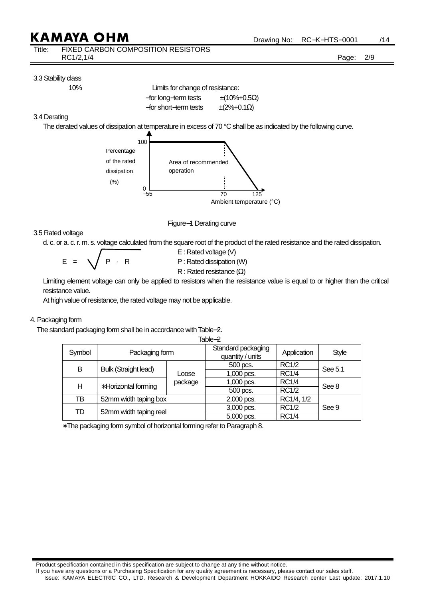| Title: | FIXED CARBON COMPOSITION RESISTORS |       |     |
|--------|------------------------------------|-------|-----|
|        | RC1/2,1/4                          | Page: | 2/9 |

### 3.3 Stability class

 10% Limits for change of resistance: −for long−term tests ±(10%+0.5Ω)  $-$ for short–term tests  $\pm$ (2%+0.1 $\Omega$ )

### 3.4 Derating

The derated values of dissipation at temperature in excess of 70 °C shall be as indicated by the following curve.



Figure−1 Derating curve

## 3.5 Rated voltage

d. c. or a. c. r. m. s. voltage calculated from the square root of the product of the rated resistance and the rated dissipation.

 $E = \sqrt{P \cdot R}$  P : Rated dissipation (W)

E : Rated voltage (V)

R : Rated resistance (Ω)

 Limiting element voltage can only be applied to resistors when the resistance value is equal to or higher than the critical resistance value.

At high value of resistance, the rated voltage may not be applicable.

## 4. Packaging form

The standard packaging form shall be in accordance with Table−2.

| id∪l <del>∪~</del> ∠ |                             |         |                                        |              |              |
|----------------------|-----------------------------|---------|----------------------------------------|--------------|--------------|
| Symbol               | Packaging form              |         | Standard packaging<br>quantity / units | Application  | <b>Style</b> |
| B                    |                             |         | 500 pcs.                               | <b>RC1/2</b> |              |
|                      | <b>Bulk (Straight lead)</b> | Loose   | $1,000$ pcs.                           | <b>RC1/4</b> | See 5.1      |
| н                    | * Horizontal forming        | package | 1,000 pcs.                             | <b>RC1/4</b> |              |
|                      |                             |         | 500 pcs.                               | <b>RC1/2</b> | See 8        |
| тв                   | 52mm width taping box       |         | 2,000 pcs.                             | RC1/4, 1/2   |              |
| TD                   | 52mm width taping reel      |         | 3,000 pcs.                             | <b>RC1/2</b> | See 9        |
|                      |                             |         | 5,000 pcs.                             | <b>RC1/4</b> |              |

Table−2

∗ The packaging form symbol of horizontal forming refer to Paragraph 8.

Product specification contained in this specification are subject to change at any time without notice.

If you have any questions or a Purchasing Specification for any quality agreement is necessary, please contact our sales staff.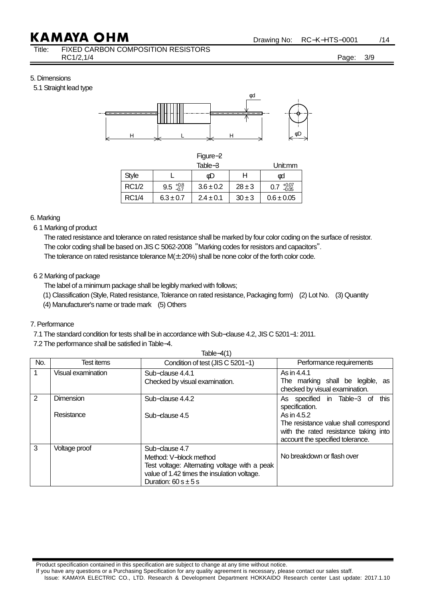Title: FIXED CARBON COMPOSITION RESISTORS RC1/2,1/4 Page: 3/9

Drawing No: RC−K−HTS−0001 /14

5. Dimensions

5.1 Straight lead type



| п<br>ł<br>v. |
|--------------|
|--------------|

| Table-3      |                         | Jnit:mm       |            |                           |
|--------------|-------------------------|---------------|------------|---------------------------|
| <b>Style</b> |                         | óD            |            | φd                        |
| <b>RC1/2</b> | $9.5 \frac{+0.8}{-0.7}$ | $3.6 \pm 0.2$ | $28 \pm 3$ | $+0.07$<br>$-0.05$<br>0.7 |
| <b>RC1/4</b> | $6.3 \pm 0.7$           | $2.4 \pm 0.1$ | $30 \pm 3$ | $0.6 \pm 0.05$            |

6. Marking

6.1 Marking of product

The rated resistance and tolerance on rated resistance shall be marked by four color coding on the surface of resistor. The color coding shall be based on JIS C 5062-2008 "Marking codes for resistors and capacitors".

The tolerance on rated resistance tolerance  $M(\pm 20%)$  shall be none color of the forth color code.

### 6.2 Marking of package

The label of a minimum package shall be legibly marked with follows;

- (1) Classification (Style, Rated resistance, Tolerance on rated resistance, Packaging form) (2) Lot No. (3) Quantity
- (4) Manufacturer's name or trade mark (5) Others

### 7. Performance

7.1 The standard condition for tests shall be in accordance with Sub−clause 4.2, JIS C 5201−1: 2011.

7.2 The performance shall be satisfied in Table−4.

|     | Table- $4(1)$                  |                                                                                                                                                                      |                                                                                                                                                                                        |  |  |  |
|-----|--------------------------------|----------------------------------------------------------------------------------------------------------------------------------------------------------------------|----------------------------------------------------------------------------------------------------------------------------------------------------------------------------------------|--|--|--|
| No. | Test items                     | Condition of test (JIS C 5201-1)                                                                                                                                     | Performance requirements                                                                                                                                                               |  |  |  |
| 1   | Visual examination             | Sub-clause 4.4.1<br>Checked by visual examination.                                                                                                                   | As in 4.4.1<br>The marking shall be legible, as<br>checked by visual examination.                                                                                                      |  |  |  |
| 2   | <b>Dimension</b><br>Resistance | Sub-clause 4.4.2<br>Sub-clause 4.5                                                                                                                                   | As specified in Table-3 of this<br>specification.<br>As in 4.5.2<br>The resistance value shall correspond<br>with the rated resistance taking into<br>account the specified tolerance. |  |  |  |
| 3   | Voltage proof                  | Sub-clause 4.7<br>Method: V-block method<br>Test voltage: Alternating voltage with a peak<br>value of 1.42 times the insulation voltage.<br>Duration: $60 s \pm 5 s$ | No breakdown or flash over                                                                                                                                                             |  |  |  |

Product specification contained in this specification are subject to change at any time without notice.

If you have any questions or a Purchasing Specification for any quality agreement is necessary, please contact our sales staff.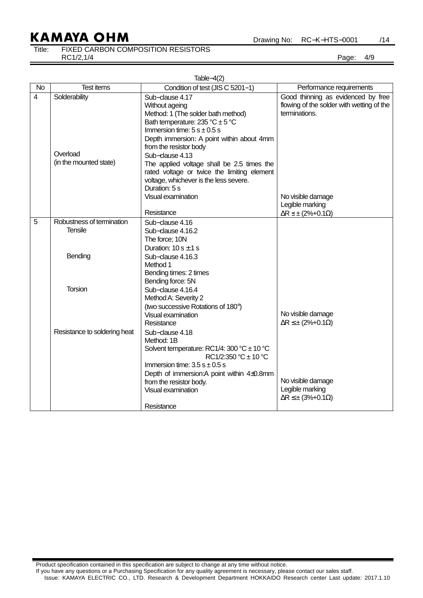Drawing No: RC−K−HTS−0001 /14

## Title: FIXED CARBON COMPOSITION RESISTORS

RC1/2,1/4 Page: 4/9

|                | Table $-4(2)$                                       |                                                                                                                                                                                                                                                                                                                                                                                                     |                                                                                                  |  |  |  |
|----------------|-----------------------------------------------------|-----------------------------------------------------------------------------------------------------------------------------------------------------------------------------------------------------------------------------------------------------------------------------------------------------------------------------------------------------------------------------------------------------|--------------------------------------------------------------------------------------------------|--|--|--|
| <b>No</b>      | <b>Test items</b>                                   | Condition of test (JIS C 5201-1)                                                                                                                                                                                                                                                                                                                                                                    | Performance requirements                                                                         |  |  |  |
| $\overline{4}$ | Solderability<br>Overload<br>(in the mounted state) | Sub-clause 4.17<br>Without ageing<br>Method: 1 (The solder bath method)<br>Bath temperature: $235 °C \pm 5 °C$<br>Immersion time: $5 s \pm 0.5 s$<br>Depth immersion: A point within about 4mm<br>from the resistor body<br>Sub-clause 4.13<br>The applied voltage shall be 2.5 times the<br>rated voltage or twice the limiting element<br>voltage, whichever is the less severe.<br>Duration: 5 s | Good thinning as evidenced by free<br>flowing of the solder with wetting of the<br>terminations. |  |  |  |
|                |                                                     | Visual examination                                                                                                                                                                                                                                                                                                                                                                                  | No visible damage                                                                                |  |  |  |
|                |                                                     |                                                                                                                                                                                                                                                                                                                                                                                                     | Legible marking                                                                                  |  |  |  |
|                |                                                     | Resistance                                                                                                                                                                                                                                                                                                                                                                                          | $\Delta R \leq \pm (2\% + 0.1\Omega)$                                                            |  |  |  |
| 5              | Robustness of termination<br><b>Tensile</b>         | Sub-clause 4.16<br>Sub-clause 4.16.2<br>The force: 10N<br>Duration: $10 s \pm 1 s$                                                                                                                                                                                                                                                                                                                  |                                                                                                  |  |  |  |
|                | Bending                                             | Sub-clause 4.16.3<br>Method 1<br>Bending times: 2 times<br>Bending force: 5N                                                                                                                                                                                                                                                                                                                        |                                                                                                  |  |  |  |
|                | <b>Torsion</b>                                      | Sub-clause 4.16.4<br>Method A: Severity 2<br>(two successive Rotations of 180°)<br>Visual examination<br>Resistance                                                                                                                                                                                                                                                                                 | No visible damage<br>$\Delta R \leq \pm (2\% + 0.1\Omega)$                                       |  |  |  |
|                | Resistance to soldering heat                        | Sub-clause 4.18<br>Method: 1B<br>Solvent temperature: RC1/4: 300 °C $\pm$ 10 °C<br>$RC1/2:350 °C \pm 10 °C$<br>Immersion time: $3.5 s \pm 0.5 s$<br>Depth of immersion: A point within 4±0.8mm<br>from the resistor body.<br>Visual examination                                                                                                                                                     | No visible damage<br>Legible marking<br>$\Delta R \leq \pm (3\% + 0.1\Omega)$                    |  |  |  |
|                |                                                     | Resistance                                                                                                                                                                                                                                                                                                                                                                                          |                                                                                                  |  |  |  |

Product specification contained in this specification are subject to change at any time without notice.

If you have any questions or a Purchasing Specification for any quality agreement is necessary, please contact our sales staff.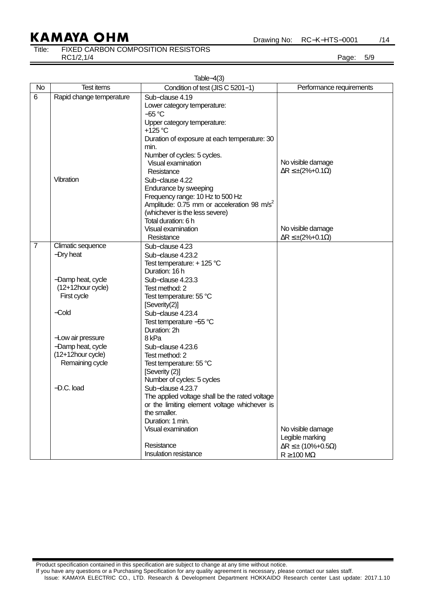Drawing No: RC−K−HTS−0001 /14

Title: FIXED CARBON COMPOSITION RESISTORS

RC1/2,1/4 Page: 5/9

|                | Table $-4(3)$                |                                                        |                                        |  |  |  |  |
|----------------|------------------------------|--------------------------------------------------------|----------------------------------------|--|--|--|--|
| <b>No</b>      | <b>Test items</b>            | Condition of test (JIS C 5201-1)                       | Performance requirements               |  |  |  |  |
| 6              | Rapid change temperature     | Sub-clause 4.19                                        |                                        |  |  |  |  |
|                |                              | Lower category temperature:                            |                                        |  |  |  |  |
|                |                              | $-55^{\circ}$ C                                        |                                        |  |  |  |  |
|                |                              | Upper category temperature:                            |                                        |  |  |  |  |
|                |                              | +125 °C                                                |                                        |  |  |  |  |
|                |                              | Duration of exposure at each temperature: 30<br>min.   |                                        |  |  |  |  |
|                |                              | Number of cycles: 5 cycles.                            |                                        |  |  |  |  |
|                |                              | Visual examination                                     | No visible damage                      |  |  |  |  |
|                |                              | Resistance                                             | $\Delta R \leq \pm (2\% + 0.1\Omega)$  |  |  |  |  |
|                | Vibration                    | Sub-clause 4.22                                        |                                        |  |  |  |  |
|                |                              | Endurance by sweeping                                  |                                        |  |  |  |  |
|                |                              | Frequency range: 10 Hz to 500 Hz                       |                                        |  |  |  |  |
|                |                              | Amplitude: 0.75 mm or acceleration 98 m/s <sup>2</sup> |                                        |  |  |  |  |
|                |                              | (whichever is the less severe)                         |                                        |  |  |  |  |
|                |                              | Total duration: 6 h                                    |                                        |  |  |  |  |
|                |                              | Visual examination                                     | No visible damage                      |  |  |  |  |
|                |                              | Resistance                                             | $\Delta R \leq \pm (2\% + 0.1\Omega)$  |  |  |  |  |
| $\overline{7}$ | Climatic sequence            | Sub-clause 4.23<br>Sub-clause 4.23.2                   |                                        |  |  |  |  |
|                | -Dry heat                    | Test temperature: +125 °C                              |                                        |  |  |  |  |
|                |                              | Duration: 16 h                                         |                                        |  |  |  |  |
|                | -Damp heat, cycle            | Sub-clause 4.23.3                                      |                                        |  |  |  |  |
|                | (12+12hour cycle)            | Test method: 2                                         |                                        |  |  |  |  |
|                | First cycle                  | Test temperature: 55 °C                                |                                        |  |  |  |  |
|                |                              | [Severity(2)]                                          |                                        |  |  |  |  |
|                | $-Cold$<br>Sub-clause 4.23.4 |                                                        |                                        |  |  |  |  |
|                |                              | Test temperature -55 °C                                |                                        |  |  |  |  |
|                |                              | Duration: 2h                                           |                                        |  |  |  |  |
|                | -Low air pressure            | 8 <sub>kPa</sub>                                       |                                        |  |  |  |  |
|                | -Damp heat, cycle            | Sub-clause 4.23.6                                      |                                        |  |  |  |  |
|                | (12+12hour cycle)            | Test method: 2                                         |                                        |  |  |  |  |
|                | Remaining cycle              | Test temperature: 55 °C                                |                                        |  |  |  |  |
|                |                              | [Severity (2)]<br>Number of cycles: 5 cycles           |                                        |  |  |  |  |
|                | $-D.C.$ load                 | Sub-clause 4.23.7                                      |                                        |  |  |  |  |
|                |                              | The applied voltage shall be the rated voltage         |                                        |  |  |  |  |
|                |                              | or the limiting element voltage whichever is           |                                        |  |  |  |  |
|                |                              | the smaller.                                           |                                        |  |  |  |  |
|                |                              | Duration: 1 min.                                       |                                        |  |  |  |  |
|                |                              | Visual examination                                     | No visible damage                      |  |  |  |  |
|                |                              |                                                        | Legible marking                        |  |  |  |  |
|                |                              | Resistance                                             | $\Delta R \leq \pm (10\% + 0.5\Omega)$ |  |  |  |  |
|                |                              | Insulation resistance                                  | $R \ge 100 \text{ M}\Omega$            |  |  |  |  |

Product specification contained in this specification are subject to change at any time without notice.

If you have any questions or a Purchasing Specification for any quality agreement is necessary, please contact our sales staff. Issue: KAMAYA ELECTRIC CO., LTD. Research & Development Department HOKKAIDO Research center Last update: 2017.1.10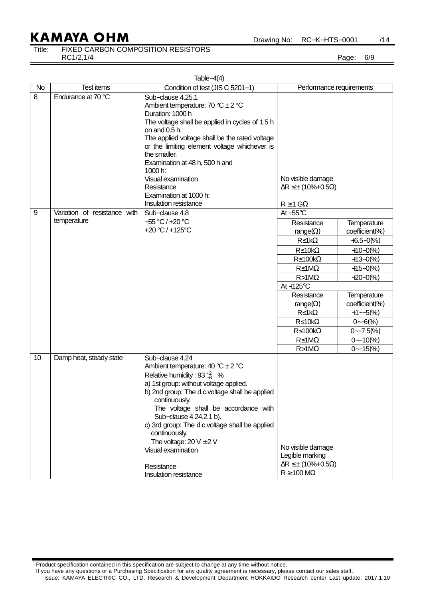Drawing No: RC−K−HTS−0001 /14

## Title: FIXED CARBON COMPOSITION RESISTORS

RC1/2,1/4 Page: 6/9

| Table $-4(4)$ |                              |                                                                                                                                                                                                                                                                                                                                                                                                            |                                                                                                               |                               |  |  |  |
|---------------|------------------------------|------------------------------------------------------------------------------------------------------------------------------------------------------------------------------------------------------------------------------------------------------------------------------------------------------------------------------------------------------------------------------------------------------------|---------------------------------------------------------------------------------------------------------------|-------------------------------|--|--|--|
| <b>No</b>     | <b>Test items</b>            | Condition of test (JIS C 5201-1)                                                                                                                                                                                                                                                                                                                                                                           | Performance requirements                                                                                      |                               |  |  |  |
| 8             | Endurance at 70 °C           | Sub-clause 4.25.1<br>Ambient temperature: 70 °C $\pm$ 2 °C<br>Duration: 1000 h<br>The voltage shall be applied in cycles of 1.5 h<br>on and $0.5$ h.<br>The applied voltage shall be the rated voltage<br>or the limiting element voltage whichever is<br>the smaller.<br>Examination at 48 h, 500 h and<br>1000 h:<br>Visual examination<br>Resistance<br>Examination at 1000 h:<br>Insulation resistance | No visible damage<br>$\Delta R \leq \pm (10\% + 0.5\Omega)$<br>$R \ge 1$ G $\Omega$                           |                               |  |  |  |
| 9             | Variation of resistance with | Sub-clause 4.8                                                                                                                                                                                                                                                                                                                                                                                             | At $-55^{\circ}$ C                                                                                            |                               |  |  |  |
|               | temperature                  | $-55 °C$ / +20 °C<br>+20 °C / +125 °C                                                                                                                                                                                                                                                                                                                                                                      | Resistance<br>range( $\Omega$ )                                                                               | Temperature<br>coefficient(%) |  |  |  |
|               |                              |                                                                                                                                                                                                                                                                                                                                                                                                            | $R \leq 1k\Omega$                                                                                             | $+6.5 - 0(%$                  |  |  |  |
|               |                              |                                                                                                                                                                                                                                                                                                                                                                                                            | $R \leq 10k\Omega$                                                                                            | $+10-0(%)$                    |  |  |  |
|               |                              |                                                                                                                                                                                                                                                                                                                                                                                                            | $R \le 100k\Omega$                                                                                            | $+13-0(%)$                    |  |  |  |
|               |                              |                                                                                                                                                                                                                                                                                                                                                                                                            | $R \leq 1 M\Omega$                                                                                            | $+15-0(%)$                    |  |  |  |
|               |                              |                                                                                                                                                                                                                                                                                                                                                                                                            | $R > 1M\Omega$                                                                                                | $+20-0(%)$                    |  |  |  |
|               |                              |                                                                                                                                                                                                                                                                                                                                                                                                            | At $+125^{\circ}$ C                                                                                           |                               |  |  |  |
|               |                              |                                                                                                                                                                                                                                                                                                                                                                                                            | Resistance                                                                                                    | Temperature<br>coefficient(%) |  |  |  |
|               |                              |                                                                                                                                                                                                                                                                                                                                                                                                            | range( $\Omega$ )<br>$R \leq 1k\Omega$                                                                        | $+1-5(%)$                     |  |  |  |
|               |                              |                                                                                                                                                                                                                                                                                                                                                                                                            | $R \leq 10k\Omega$                                                                                            | $0 - 6(%)$                    |  |  |  |
|               |                              |                                                                                                                                                                                                                                                                                                                                                                                                            | $R \leq 100k\Omega$                                                                                           | $0 - 7.5\%$                   |  |  |  |
|               |                              |                                                                                                                                                                                                                                                                                                                                                                                                            | $R \leq 1 M\Omega$                                                                                            | $0 - 10(%$                    |  |  |  |
|               |                              |                                                                                                                                                                                                                                                                                                                                                                                                            | $R > 1M\Omega$                                                                                                | $0 - 15(%)$                   |  |  |  |
| 10            | Damp heat, steady state      | Sub-clause 4.24<br>Ambient temperature: $40^{\circ}C \pm 2^{\circ}C$<br>Relative humidity : 93 $\frac{12}{3}$ %<br>a) 1st group: without voltage applied.<br>b) 2nd group: The d.c.voltage shall be applied<br>continuously.<br>The voltage shall be accordance with<br>Sub-clause 4.24.2.1 b).                                                                                                            |                                                                                                               |                               |  |  |  |
|               |                              | c) 3rd group: The d.c.voltage shall be applied<br>continuously.<br>The voltage: $20 V \pm 2 V$<br>Visual examination<br>Resistance<br>Insulation resistance                                                                                                                                                                                                                                                | No visible damage<br>Legible marking<br>$\Delta R \leq \pm (10\% + 0.5\Omega)$<br>$R \ge 100 \text{ M}\Omega$ |                               |  |  |  |

Product specification contained in this specification are subject to change at any time without notice.

If you have any questions or a Purchasing Specification for any quality agreement is necessary, please contact our sales staff.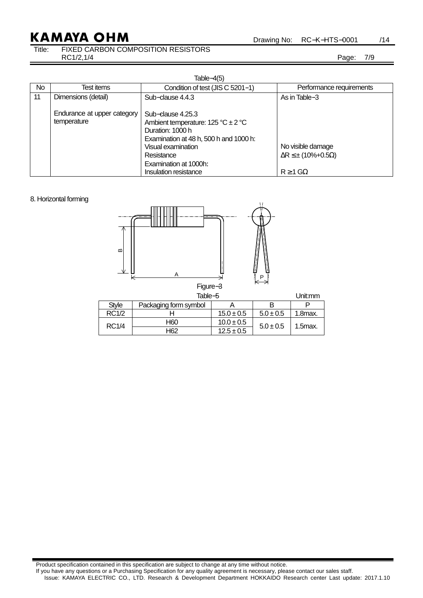Drawing No: RC−K−HTS−0001 /14

## Title: FIXED CARBON COMPOSITION RESISTORS

RC1/2,1/4 Page: 7/9

|    | Table- $4(5)$                              |                                                                                                                                                                                                                               |                                                                                      |  |  |  |  |  |
|----|--------------------------------------------|-------------------------------------------------------------------------------------------------------------------------------------------------------------------------------------------------------------------------------|--------------------------------------------------------------------------------------|--|--|--|--|--|
| No | Test items                                 | Condition of test (JIS C 5201-1)                                                                                                                                                                                              | Performance requirements                                                             |  |  |  |  |  |
| 11 | Dimensions (detail)                        | Sub-clause 4.4.3                                                                                                                                                                                                              | As in Table-3                                                                        |  |  |  |  |  |
|    | Endurance at upper category<br>temperature | Sub-clause 4.25.3<br>Ambient temperature: $125 \degree C \pm 2 \degree C$<br>Duration: 1000 h<br>Examination at 48 h, 500 h and 1000 h:<br>Visual examination<br>Resistance<br>Examination at 1000h:<br>Insulation resistance | No visible damage<br>$\Delta R \leq \pm (10\% + 0.5\Omega)$<br>$R \geq 1$ G $\Omega$ |  |  |  |  |  |

#### 8. Horizontal forming



|              | Table-5               | Jnit:mm        |               |         |
|--------------|-----------------------|----------------|---------------|---------|
| Stvle        | Packaging form symbol |                | в             |         |
| <b>RC1/2</b> |                       | $15.0 \pm 0.5$ | $5.0 \pm 0.5$ | 1.8max. |
| <b>RC1/4</b> | H60                   | $10.0 \pm 0.5$ | $5.0 \pm 0.5$ | 1.5max. |
|              | H62                   | $12.5 \pm 0.5$ |               |         |

Product specification contained in this specification are subject to change at any time without notice. If you have any questions or a Purchasing Specification for any quality agreement is necessary, please contact our sales staff. Issue: KAMAYA ELECTRIC CO., LTD. Research & Development Department HOKKAIDO Research center Last update: 2017.1.10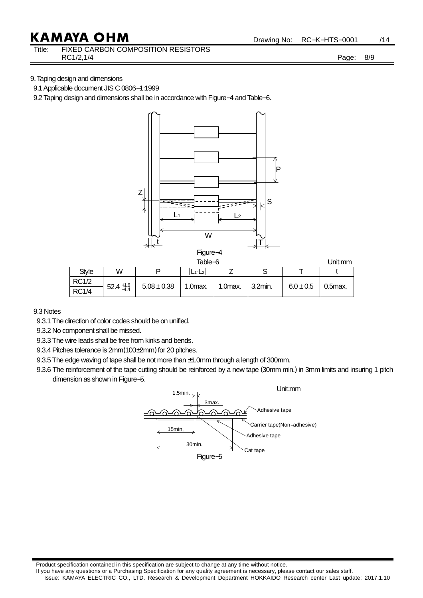Title: FIXED CARBON COMPOSITION RESISTORS RC1/2,1/4 Page: 8/9

### 9. Taping design and dimensions

9.1 Applicable document JIS C 0806-1:1999

9.2 Taping design and dimensions shall be in accordance with Figure–4 and Table–6.



Figure−4

|              |                      |                 | Jnit:mm   |            |                       |               |              |  |
|--------------|----------------------|-----------------|-----------|------------|-----------------------|---------------|--------------|--|
| <b>Style</b> | W                    | D               | $L_1-L_2$ |            | U                     |               |              |  |
| <b>RC1/2</b> |                      | $5.08 \pm 0.38$ | 1.0max.   | $1.0max$ . | $\frac{1}{2}$ 3.2min. | $6.0 \pm 0.5$ | $0.5$ $max.$ |  |
| <b>RC1/4</b> | $52.4_{-1.4}^{+1.6}$ |                 |           |            |                       |               |              |  |

9.3 Notes

9.3.1 The direction of color codes should be on unified.

9.3.2 No component shall be missed.

9.3.3 The wire leads shall be free from kinks and bends.

9.3.4 Pitches tolerance is 2mm(100±2mm) for 20 pitches.

9.3.5 The edge waving of tape shall be not more than  $\pm$ 1.0mm through a length of 300mm.

9.3.6 The reinforcement of the tape cutting should be reinforced by a new tape (30mm min.) in 3mm limits and insuring 1 pitch dimension as shown in Figure−5.



Product specification contained in this specification are subject to change at any time without notice.

If you have any questions or a Purchasing Specification for any quality agreement is necessary, please contact our sales staff. Issue: KAMAYA ELECTRIC CO., LTD. Research & Development Department HOKKAIDO Research center Last update: 2017.1.10